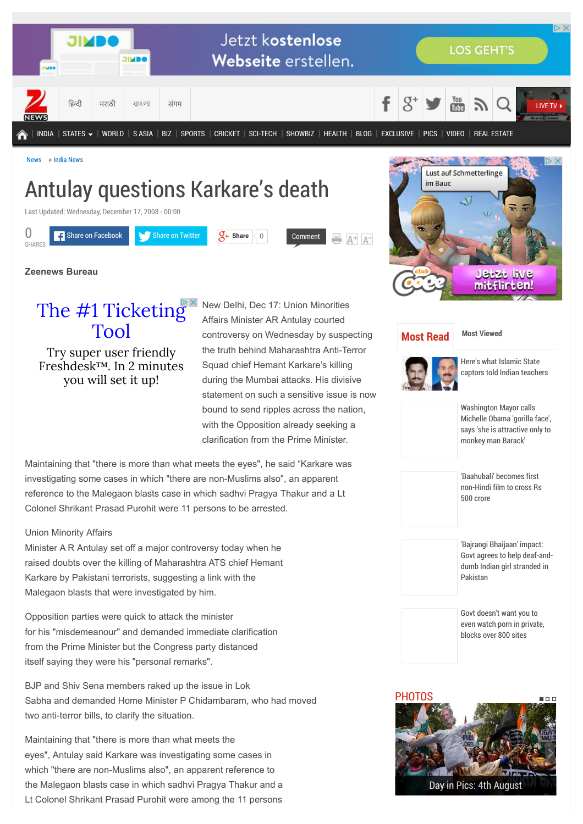

# Antulay questions Karkare's death

Last Updated: Wednesday, December 17, 2008 - 00:00



**Zeenews Bureau**

[The #1 Ticketing](http://www.googleadservices.com/pagead/aclk?sa=L&ai=CQtVEMq7AVfOdIJTV7AamxYawAeWF3-YHlYqPq8gBpfP7uNUCEAEgufmMKWCV8qyCtAegAcPgh9sDyAEB4AIAqAMByAObBKoExgFP0ExRQ7pDSzLVxUWs_wSwkTGPDsIkVRUaOB4E2NN-RxCWKSSuJnZxedqZiAXkrzC7pihcp85khAjNPhDefAHR_4Q4kVLVnbLB67LeUbpz7xXqjK_jxAgKrm91CJKFFZ6ptVvmLlrhLjnOivtjos9jMHDIdi0TBIQq2ekhtm0J0AT4ULG7WXJG4WhBIiMiOYB6U9NJolNRuc09P0ZCKmFcO4ZMiHCID2G85TMNxnH91b3A4QDVu81sFocRgBd1bvYV5Rr9hUHgBAGIBgGAB6Wf-CSoB6a-G9gHAQ&num=1&cid=5GgHC8HAmXsHpw6iHy7KpIwq&sig=AOD64_3sdWkngNuszL5xJuIqlPGyKaFt5w&client=ca-pub-5539691492742074&adurl=http://freshdesk.com%3F_bt%3D53678391957%26_bk%3D%26_bm%3D) Tool

Try super user friendly Freshdesk™. In 2 minutes you will set it up!

New Delhi, Dec 17: Union Minorities Affairs Minister AR Antulay courted controversy on Wednesday by suspecting the truth behind Maharashtra Anti-Terror Squad chief Hemant Karkare's killing during the Mumbai attacks. His divisive statement on such a sensitive issue is now bound to send ripples across the nation, with the Opposition already seeking a clarification from the Prime Minister.

Maintaining that "there is more than what meets the eyes", he said "Karkare was investigating some cases in which "there are non-Muslims also", an apparent reference to the Malegaon blasts case in which sadhvi Pragya Thakur and a Lt Colonel Shrikant Prasad Purohit were 11 persons to be arrested.

## Union Minority Affairs

Minister A R Antulay set off a major controversy today when he raised doubts over the killing of Maharashtra ATS chief Hemant Karkare by Pakistani terrorists, suggesting a link with the Malegaon blasts that were investigated by him.

Opposition parties were quick to attack the minister for his "misdemeanour" and demanded immediate clarification from the Prime Minister but the Congress party distanced itself saying they were his "personal remarks".

BJP and Shiv Sena members raked up the issue in Lok Sabha and demanded Home Minister P Chidambaram, who had moved two anti-terror bills, to clarify the situation.

Maintaining that "there is more than what meets the eyes", Antulay said Karkare was investigating some cases in which "there are non-Muslims also", an apparent reference to the Malegaon blasts case in which sadhvi Pragya Thakur and a Lt Colonel Shrikant Prasad Purohit were among the 11 persons



# **[Most Read](http://zeenews.india.com/news/nation/antulay-questions-karkares-death_491692.html#read) [Most Viewed](http://zeenews.india.com/news/nation/antulay-questions-karkares-death_491692.html#viewd)**



Here's what Islamic State [captors told Indian teachers](http://zeenews.india.com/news/india/heres-what-islamic-state-captors-told-indian-teachers_1640538.html)

Washington Mayor calls [Michelle Obama 'gorilla face',](http://zeenews.india.com/news/world/washington-mayor-calls-michelle-obama-gorilla-face-says-she-is-attractive-only-to-monkey-man-barack_1640655.html) says 'she is attractive only to monkey man Barack'

'Baahubali' becomes first [non-Hindi film to cross Rs](http://zeenews.india.com/entertainment/regional/baahubali-becomes-first-non-hindi-film-to-cross-rs-500-crores_1640758.html) 500 crore

'Bajrangi Bhaijaan' impact: [Govt agrees to help deaf-and](http://zeenews.india.com/news/india/bajrangi-bhaijaan-impact-govt-agrees-to-help-deaf-and-dumb-indian-girl-stranded-in-pakistan_1640852.html)dumb Indian girl stranded in Pakistan

Govt doesn't want you to [even watch porn in private,](http://zeenews.india.com/news/net-news/govt-doesnt-want-you-to-even-watch-porn-in-private-blocks-over-800-sites_1640711.html) blocks over 800 sites

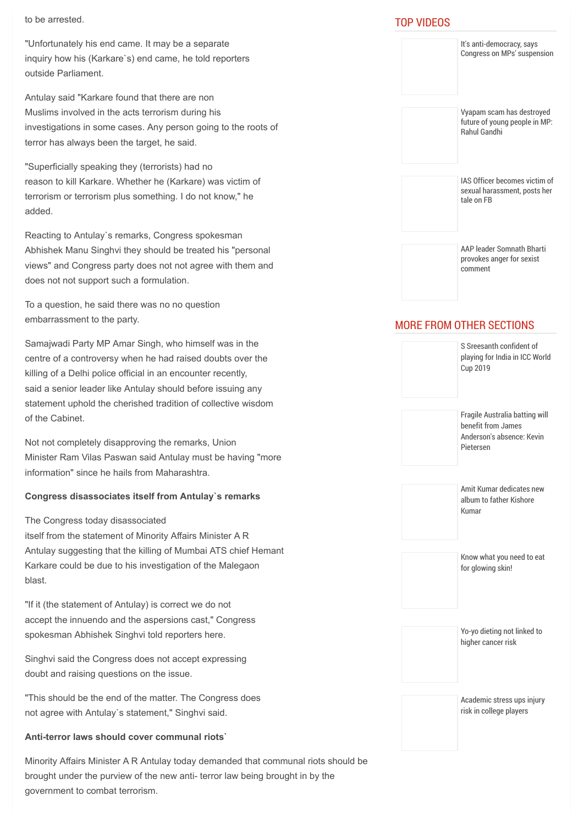to be arrested.

"Unfortunately his end came. It may be a separate inquiry how his (Karkare`s) end came, he told reporters outside Parliament.

Antulay said "Karkare found that there are non Muslims involved in the acts terrorism during his investigations in some cases. Any person going to the roots of terror has always been the target, he said.

"Superficially speaking they (terrorists) had no reason to kill Karkare. Whether he (Karkare) was victim of terrorism or terrorism plus something. I do not know," he added.

Reacting to Antulay`s remarks, Congress spokesman Abhishek Manu Singhvi they should be treated his "personal views" and Congress party does not not agree with them and does not not support such a formulation.

To a question, he said there was no no question embarrassment to the party.

Samajwadi Party MP Amar Singh, who himself was in the centre of a controversy when he had raised doubts over the killing of a Delhi police official in an encounter recently, said a senior leader like Antulay should before issuing any statement uphold the cherished tradition of collective wisdom of the Cabinet.

Not not completely disapproving the remarks, Union Minister Ram Vilas Paswan said Antulay must be having "more information" since he hails from Maharashtra.

# **Congress disassociates itself from Antulay`s remarks**

The Congress today disassociated

itself from the statement of Minority Affairs Minister A R Antulay suggesting that the killing of Mumbai ATS chief Hemant Karkare could be due to his investigation of the Malegaon blast.

"If it (the statement of Antulay) is correct we do not accept the innuendo and the aspersions cast," Congress spokesman Abhishek Singhvi told reporters here.

Singhvi said the Congress does not accept expressing doubt and raising questions on the issue.

"This should be the end of the matter. The Congress does not agree with Antulay`s statement," Singhvi said.

# **Anti-terror laws should cover communal riots`**

Minority Affairs Minister A R Antulay today demanded that communal riots should be brought under the purview of the new anti- terror law being brought in by the government to combat terrorism.

# TOP VIDEOS

| It's anti-democracy, says<br>Congress on MPs' suspension                                       |
|------------------------------------------------------------------------------------------------|
| Vyapam scam has destroyed<br>future of young people in MP:<br><b>Rahul Gandhi</b>              |
| IAS Officer becomes victim of<br>sexual harassment, posts her<br>tale on FB                    |
| <b>AAP leader Somnath Bharti</b><br>provokes anger for sexist<br>comment                       |
| <b>MORE FROM OTHER SECTIONS</b><br>S Sreesanth confident of                                    |
| playing for India in ICC World<br>Cup 2019                                                     |
| Fragile Australia batting will<br>benefit from James<br>Anderson's absence: Kevin<br>Pietersen |
| Amit Kumar dedicates new<br>album to father Kishore<br>Kumar                                   |
| Know what you need to eat<br>for glowing skin!                                                 |
| Yo-yo dieting not linked to<br>higher cancer risk                                              |
| Academic stress ups injury<br>risk in college players                                          |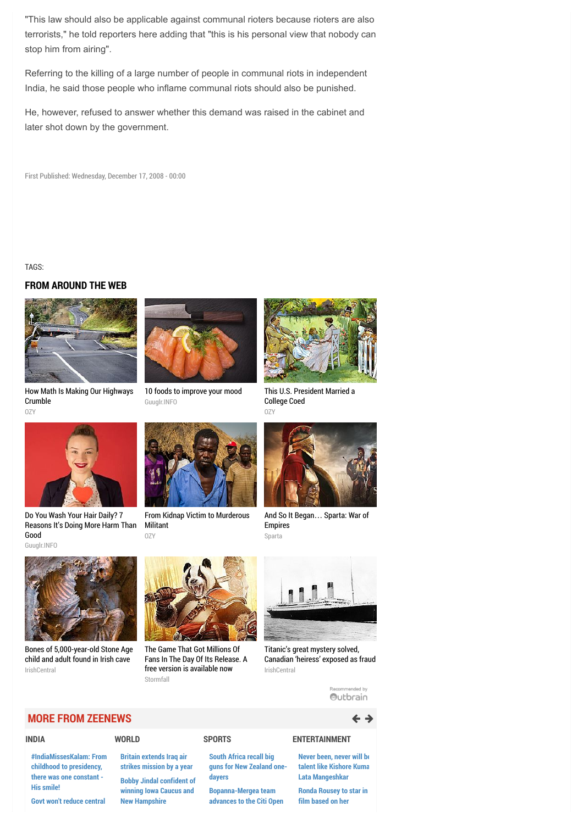"This law should also be applicable against communal rioters because rioters are also terrorists," he told reporters here adding that "this is his personal view that nobody can stop him from airing".

Referring to the killing of a large number of people in communal riots in independent India, he said those people who inflame communal riots should also be punished.

He, however, refused to answer whether this demand was raised in the cabinet and later shot down by the government.

First Published: Wednesday, December 17, 2008 - 00:00

TAGS:

## **FROM AROUND THE WEB**



[How Math Is Making Our Highways](http://www.ozy.com/acumen/how-math-is-making-our-highways-crumble/41459?utm_source=Outbrain&utm_medium=CPC&utm_campaign=INTL%20-%20All%20Clicks%20ALL%20Devices) Crumble OZY



[10 foods to improve your mood](http://guuglr.info/10-foods-to-improve-your-mood/) Guuglr.INFO



[This U.S. President Married a](http://www.ozy.com/flashback/this-us-president-married-a-college-coed/41605?utm_source=Outbrain&utm_medium=CPC&utm_campaign=INTL%20-%20All%20Clicks%20ALL%20Devices) College Coed OZY



Do You Wash Your Hair Daily? 7 [Reasons It's Doing More Harm Than](http://guuglr.info/do-you-wash-your-hair-daily-7-reasons-its-doing-more-harm-than-good/) Good Guuglr.INFO



[From Kidnap Victim to Murderous](http://www.ozy.com/flashback/from-kidnap-victim-to-murderous-militant/41343?utm_source=Outbrain&utm_medium=CPC&utm_campaign=INTL%20-%20All%20Clicks%20ALL%20Devices) Militant OZY



[And So It Began](http://plarium.com/en/strategy-games/sparta-war-of-empires/?plid=67283&pxl=outbrain&publisherid=SP_EN_ROW_New_Pool_Test)… Sparta: War of Empires Sparta



[Bones of 5,000-year-old Stone Age](http://www.irishcentral.com/roots/history/Bones-of-5000-year-old-Stone-Age-child-and-adult-found-in-Irish-cave.html) child and adult found in Irish cave IrishCentral



The Game That Got Millions Of [Fans In The Day Of Its Release. A](http://plarium.com/en/games/stormfall-age-of-war/?plid=62773&pxl=outbrain&publisherid=SF_EN_ROW_15) free version is available now Stormfall



Titanic's great mystery solved, [Canadian 'heiress' exposed as fraud](http://www.irishcentral.com/roots/history/Titanics-last-great-mystery-solved-as-Canadian-heiress-is-exposed-as-a-fraud.html) IrishCentral

Recommended by Outbrain

## **MORE FROM ZEENEWS**  $\leftarrow$  3

### **[INDIA](http://zeenews.india.com/india)**

**[#IndiaMissesKalam: From](http://zeenews.india.com/news/india/indiamisseskalam-from-childhood-to-presidency-there-was-one-constant-his-smile_1641502.html) childhood to presidency, there was one constant - His smile!**

#### **[Govt won't reduce central](http://zeenews.india.com/news/india/govt-wont-reduce-central-forces-in-northeast-rijiju_1641496.html)**

**Britain extends Iraq air**

**[WORLD](http://zeenews.india.com/world)**

#### **[strikes mission by a year](http://zeenews.india.com/news/world/britain-extends-iraq-air-strikes-mission-by-a-year_1641495.html) [Bobby Jindal confident of](http://zeenews.india.com/news/world/bobby-jindal-confident-of-winning-iowa-caucus-and-new-hampshire_1641494.html) winning Iowa Caucus and New Hampshire**

### **South Africa recall big [guns for New Zealand one](http://zeenews.india.com/sports/cricket/south-africa-recall-big-guns-for-new-zealand-one-dayers_1641526.html)dayers**

**[SPORTS](http://zeenews.india.com/sports/index.html)**

**Bopanna-Mergea team [advances to the Citi Open](http://zeenews.india.com/sports/tennis/bopanna-mergea-team-advances-to-the-citi-open-quarters_1641525.html)**

#### **[ENTERTAINMENT](http://zeenews.india.com/entertainment)**

**[Never been, never will be](http://zeenews.india.com/entertainment/music/never-been-never-will-be-talent-like-kishore-kumar-lata-mangeshkar_1641459.html) talent like Kishore Kuma Lata Mangeshkar**

**[Ronda Rousey to star in](http://zeenews.india.com/entertainment/movies/ronda-rousey-to-star-in-film-based-on-her-autobiography_1641443.html) film based on her**